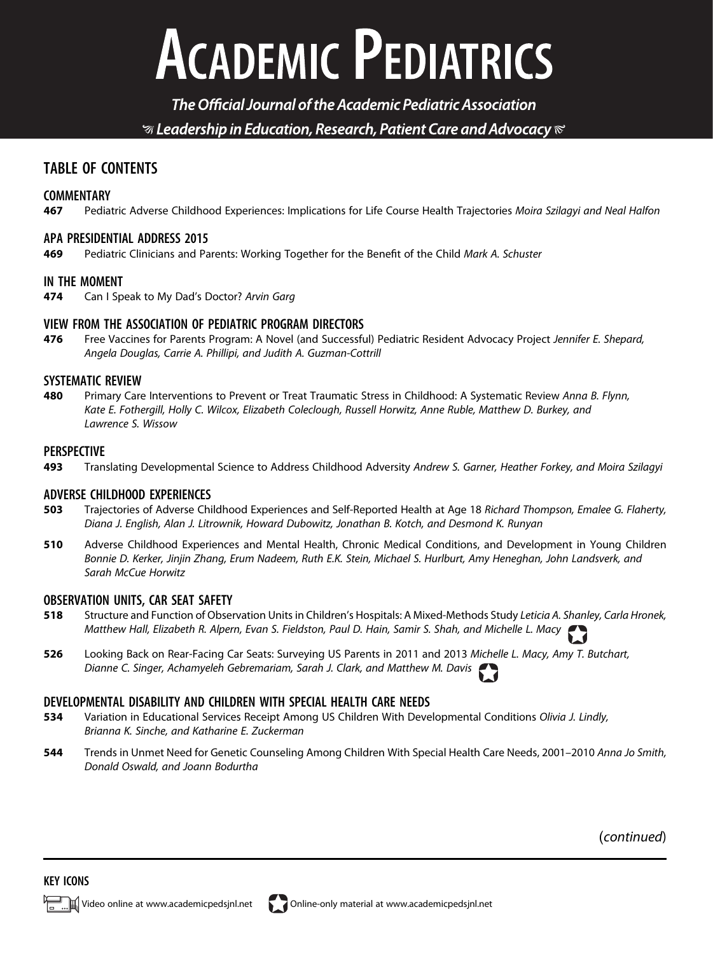# **ACADEMIC PEDIATRICS**

The Official Journal of the Academic Pediatric Association  $\mathcal G$  Leadership in Education, Research, Patient Care and Advocacy  $\mathcal C$ 

### TABLE OF CONTENTS

## **COMMENTARY**<br>467 Pedia

Pediatric Adverse Childhood Experiences: Implications for Life Course Health Trajectories Moira Szilagyi and Neal Halfon

#### APA PRESIDENTIAL ADDRESS 2015

**469** Pediatric Clinicians and Parents: Working Together for the Benefit of the Child Mark A. Schuster

#### IN THE MOMENT

474 Can I Speak to My Dad's Doctor? Arvin Garg

#### VIEW FROM THE ASSOCIATION OF PEDIATRIC PROGRAM DIRECTORS

476 Free Vaccines for Parents Program: A Novel (and Successful) Pediatric Resident Advocacy Project Jennifer E. Shepard, Angela Douglas, Carrie A. Phillipi, and Judith A. Guzman-Cottrill

#### SYSTEMATIC REVIEW

480 Primary Care Interventions to Prevent or Treat Traumatic Stress in Childhood: A Systematic Review Anna B. Flynn, Kate E. Fothergill, Holly C. Wilcox, Elizabeth Coleclough, Russell Horwitz, Anne Ruble, Matthew D. Burkey, and Lawrence S. Wissow

#### PERSPECTIVE

493 Translating Developmental Science to Address Childhood Adversity Andrew S. Garner, Heather Forkey, and Moira Szilagyi

#### ADVERSE CHILDHOOD EXPERIENCES

- 503 Trajectories of Adverse Childhood Experiences and Self-Reported Health at Age 18 Richard Thompson, Emalee G. Flaherty, Diana J. English, Alan J. Litrownik, Howard Dubowitz, Jonathan B. Kotch, and Desmond K. Runyan
- 510 Adverse Childhood Experiences and Mental Health, Chronic Medical Conditions, and Development in Young Children Bonnie D. Kerker, Jinjin Zhang, Erum Nadeem, Ruth E.K. Stein, Michael S. Hurlburt, Amy Heneghan, John Landsverk, and Sarah McCue Horwitz

#### OBSERVATION UNITS, CAR SEAT SAFETY

- 518 Structure and Function of Observation Units in Children's Hospitals: A Mixed-Methods Study Leticia A. Shanley, Carla Hronek, Matthew Hall, Elizabeth R. Alpern, Evan S. Fieldston, Paul D. Hain, Samir S. Shah, and Michelle L. Macy
- 526 Looking Back on Rear-Facing Car Seats: Surveying US Parents in 2011 and 2013 Michelle L. Macy, Amy T. Butchart, Dianne C. Singer, Achamyeleh Gebremariam, Sarah J. Clark, and Matthew M. Davis

#### DEVELOPMENTAL DISABILITY AND CHILDREN WITH SPECIAL HEALTH CARE NEEDS

- 534 Variation in Educational Services Receipt Among US Children With Developmental Conditions Olivia J. Lindly, Brianna K. Sinche, and Katharine E. Zuckerman
- 544 Trends in Unmet Need for Genetic Counseling Among Children With Special Health Care Needs, 2001–2010 Anna Jo Smith, Donald Oswald, and Joann Bodurtha

(continued)